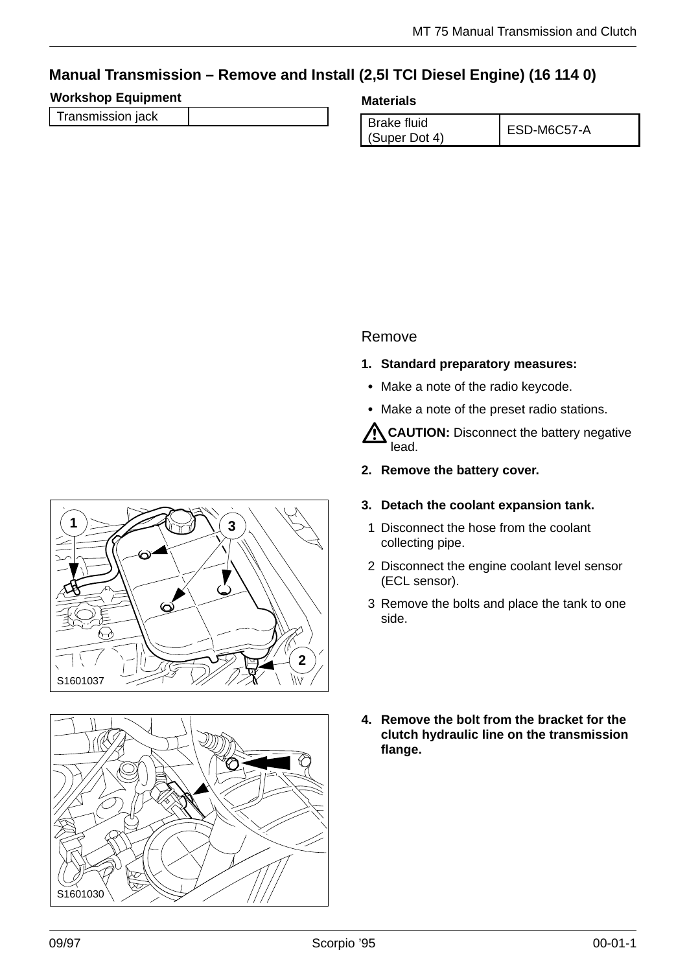# **Manual Transmission – Remove and Install (2,5l TCI Diesel Engine) (16 114 0)**

## **Workshop Equipment**

| Transmission jack |  |  |
|-------------------|--|--|
|                   |  |  |
|                   |  |  |
|                   |  |  |

#### **Materials**

| Brake fluid   | ESD-M6C57-A |
|---------------|-------------|
| (Super Dot 4) |             |

## Remove

- **1. Standard preparatory measures:**
- Make a note of the radio keycode.
- Make a note of the preset radio stations.

**CAUTION:** Disconnect the battery negative lead.

- **2. Remove the battery cover.**
- **3. Detach the coolant expansion tank.**
	- 1 Disconnect the hose from the coolant collecting pipe.
- 2 Disconnect the engine coolant level sensor (ECL sensor).
- 3 Remove the bolts and place the tank to one side.
- **4. Remove the bolt from the bracket for the clutch hydraulic line on the transmission flange.**



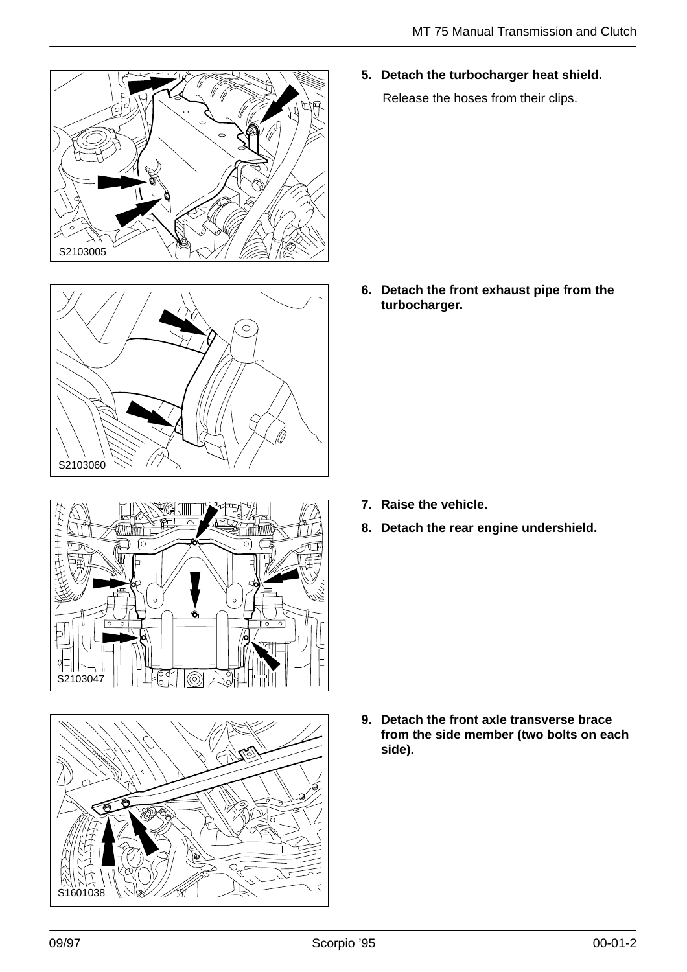



**5. Detach the turbocharger heat shield.**

Release the hoses from their clips.

**6. Detach the front exhaust pipe from the turbocharger.**

- **7. Raise the vehicle.**
- **8. Detach the rear engine undershield.**





**9. Detach the front axle transverse brace from the side member (two bolts on each side).**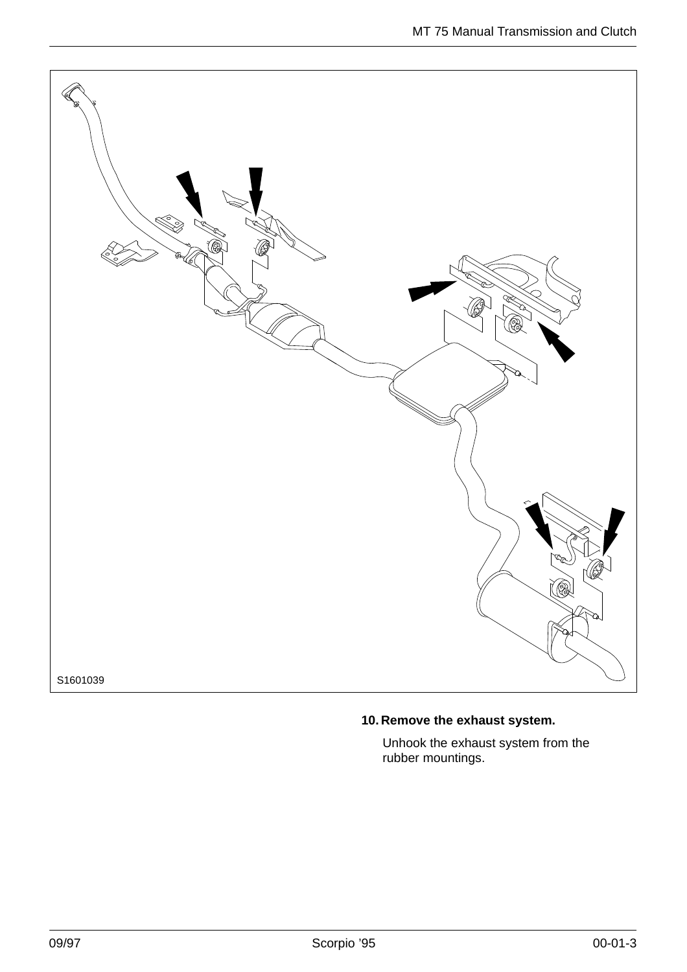

## **10. Remove the exhaust system.**

Unhook the exhaust system from the rubber mountings.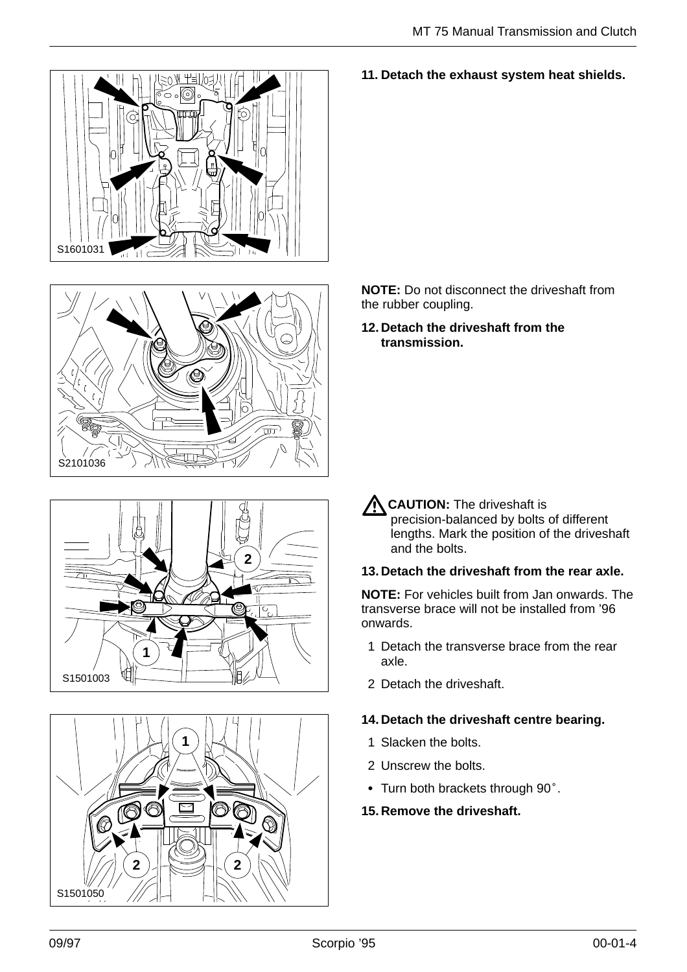![](_page_3_Picture_1.jpeg)

![](_page_3_Picture_2.jpeg)

![](_page_3_Picture_3.jpeg)

![](_page_3_Picture_4.jpeg)

#### **11. Detach the exhaust system heat shields.**

**NOTE:** Do not disconnect the driveshaft from the rubber coupling.

**12. Detach the driveshaft from the transmission.**

**CAUTION:** The driveshaft is precision-balanced by bolts of different lengths. Mark the position of the driveshaft and the bolts.

#### **13. Detach the driveshaft from the rear axle.**

**NOTE:** For vehicles built from Jan onwards. The transverse brace will not be installed from '96 onwards.

- 1 Detach the transverse brace from the rear axle.
- 2 Detach the driveshaft.

#### **14. Detach the driveshaft centre bearing.**

- 1 Slacken the bolts.
- 2 Unscrew the bolts.
- 2 Unscrew the bolts.<br>• Turn both brackets through 90°.

#### **15. Remove the driveshaft.**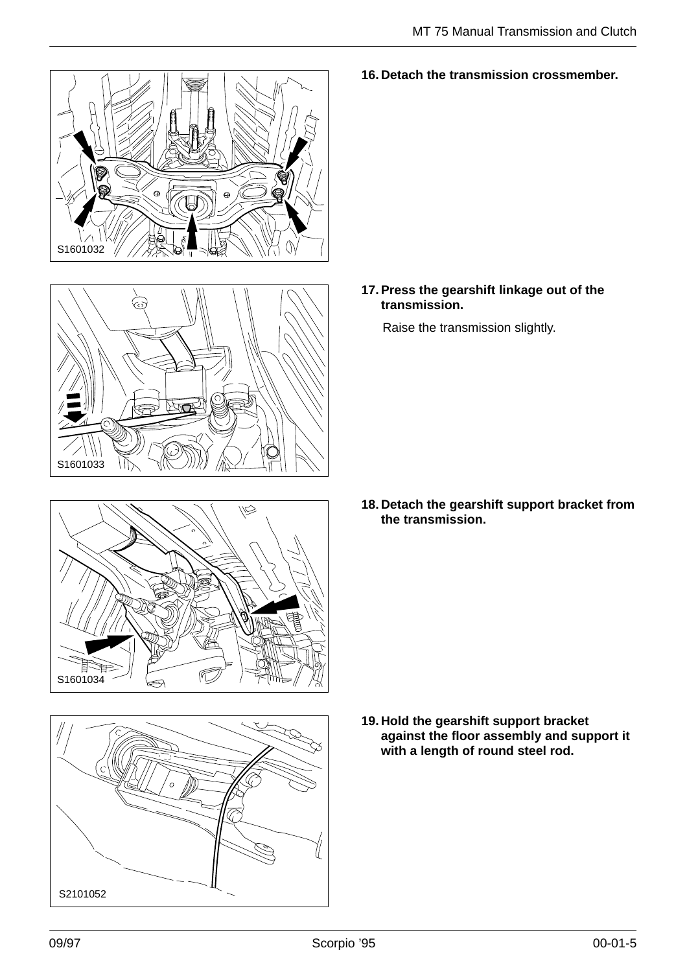![](_page_4_Picture_1.jpeg)

![](_page_4_Picture_2.jpeg)

![](_page_4_Picture_3.jpeg)

![](_page_4_Picture_4.jpeg)

**16. Detach the transmission crossmember.**

**17. Press the gearshift linkage out of the transmission.**

Raise the transmission slightly.

**18. Detach the gearshift support bracket from the transmission.**

**19. Hold the gearshift support bracket against the floor assembly and support it with a length of round steel rod.**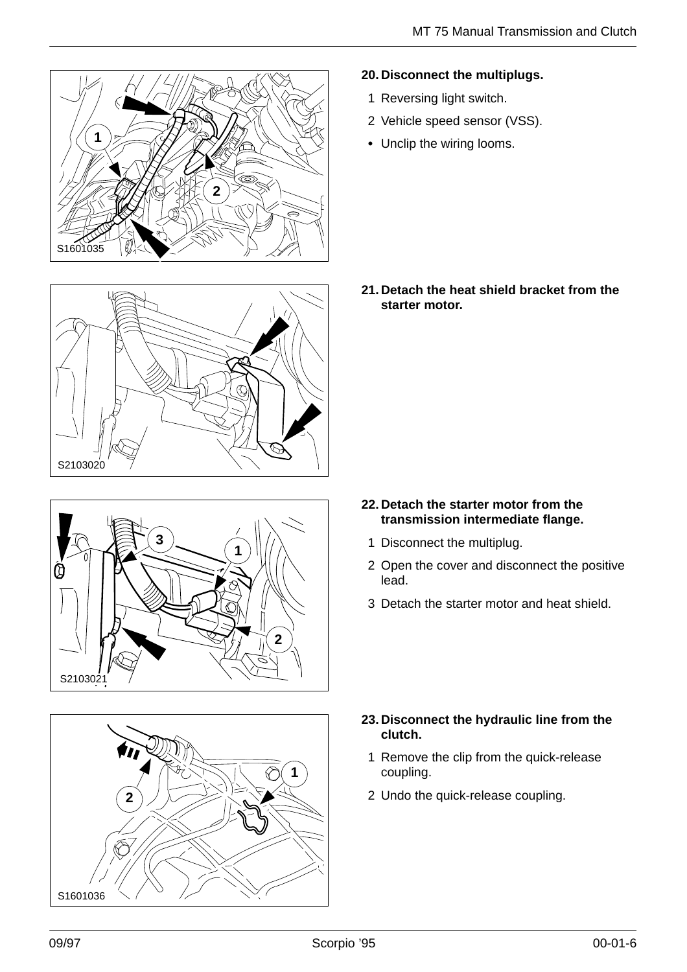![](_page_5_Picture_1.jpeg)

![](_page_5_Picture_2.jpeg)

![](_page_5_Picture_3.jpeg)

![](_page_5_Picture_4.jpeg)

#### **20. Disconnect the multiplugs.**

- 1 Reversing light switch.
- 2 Vehicle speed sensor (VSS).
- Unclip the wiring looms.

**21. Detach the heat shield bracket from the starter motor.**

- **22. Detach the starter motor from the transmission intermediate flange.**
	- 1 Disconnect the multiplug.
- 2 Open the cover and disconnect the positive lead.
- 3 Detach the starter motor and heat shield.

- **23. Disconnect the hydraulic line from the clutch.**
- $\blacksquare$  , and the contract of the contract of the contract of the contract of the contract of the contract of the contract of the contract of the contract of the contract of the contract of the contract of the contract of 1 Remove the clip from the quick-release coupling.
	-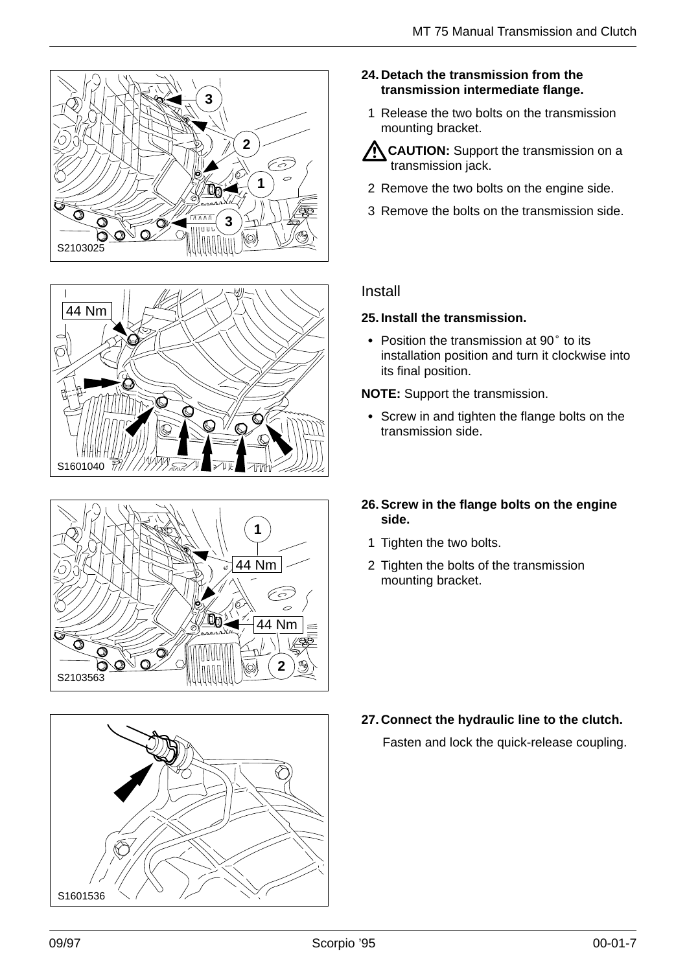![](_page_6_Picture_1.jpeg)

![](_page_6_Picture_2.jpeg)

![](_page_6_Picture_3.jpeg)

![](_page_6_Picture_4.jpeg)

- **24. Detach the transmission from the transmission intermediate flange.**
	- 1 Release the two bolts on the transmission mounting bracket.
- **K CAUTION:** Support the transmission on a transmission jack.
- 2 Remove the two bolts on the engine side.
- 3 Remove the bolts on the transmission side.

## Install

#### **25. Install the transmission.**

**5. Install the transmission.**<br>• Position the transmission at 90° to its installation position and turn it clockwise into its final position.

**NOTE:** Support the transmission.

- Screw in and tighten the flange bolts on the transmission side.
- **26. Screw in the flange bolts on the engine side.**
	- 1 Tighten the two bolts.
- 2 Tighten the bolts of the transmission mounting bracket.

**27. Connect the hydraulic line to the clutch.**

Fasten and lock the quick-release coupling.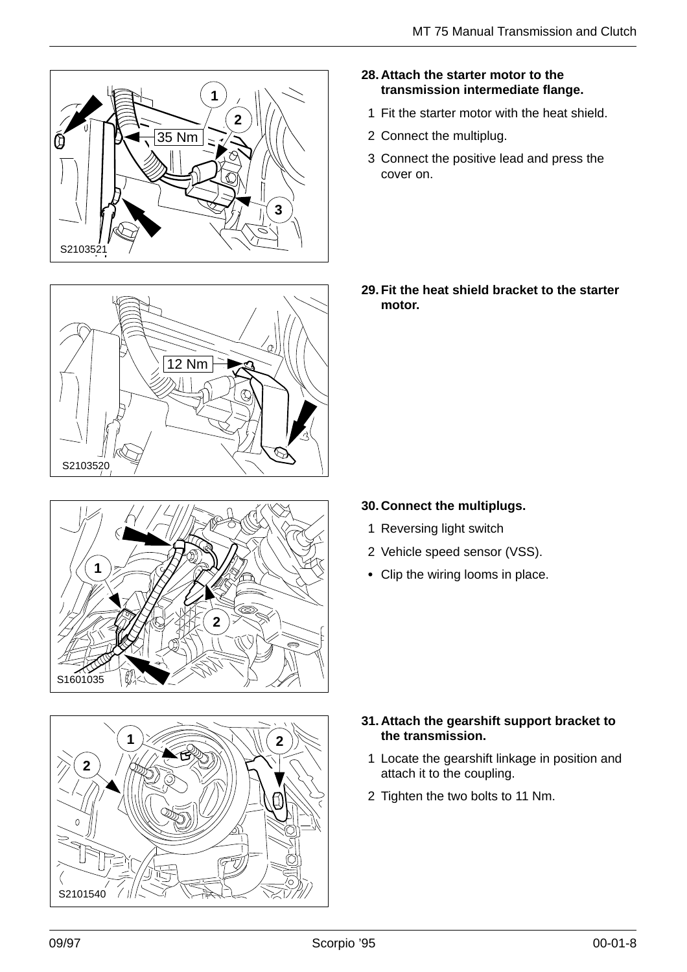![](_page_7_Picture_1.jpeg)

![](_page_7_Picture_2.jpeg)

![](_page_7_Picture_3.jpeg)

![](_page_7_Picture_4.jpeg)

- **28. Attach the starter motor to the transmission intermediate flange.**
	- 1 Fit the starter motor with the heat shield.
- 2 Connect the multiplug.
- 3 Connect the positive lead and press the cover on.

**29. Fit the heat shield bracket to the starter motor.**

- **30. Connect the multiplugs.**
	- 1 Reversing light switch
- 2 Vehicle speed sensor (VSS).
- Clip the wiring looms in place.

- **31. Attach the gearshift support bracket to the transmission.**
- 1 Locate the gearshift linkage in position and attach it to the coupling.
- 2 Tighten the two bolts to 11 Nm.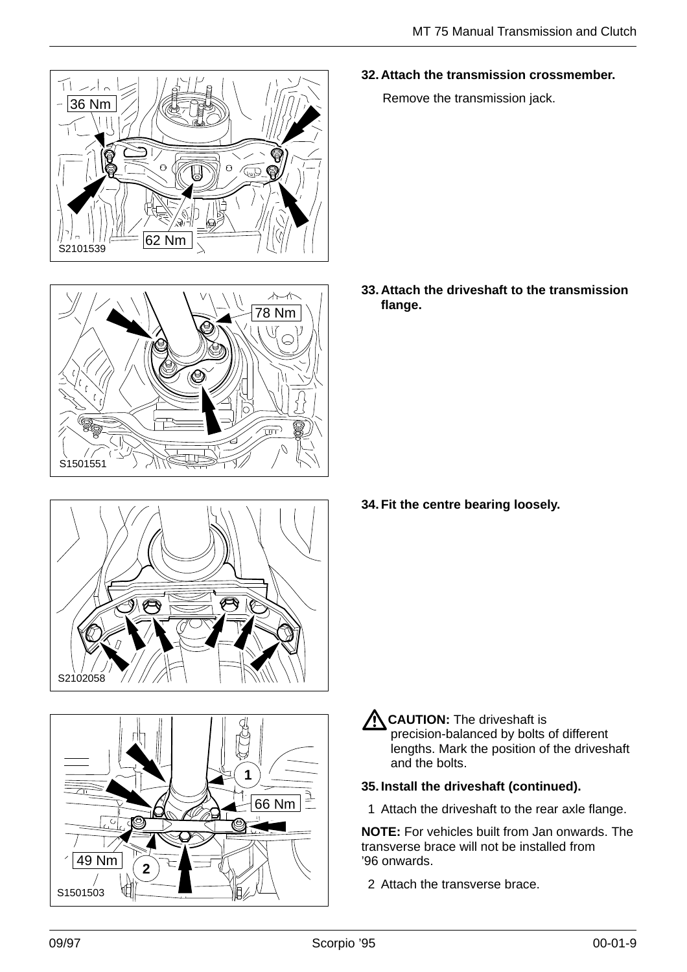**32. Attach the transmission crossmember.**

Remove the transmission jack.

**33. Attach the driveshaft to the transmission flange.**

**34. Fit the centre bearing loosely.**

**CAUTION:** The driveshaft is precision-balanced by bolts of different lengths. Mark the position of the driveshaft and the bolts.

# **35. Install the driveshaft (continued).**

1 Attach the driveshaft to the rear axle flange.

**NOTE:** For vehicles built from Jan onwards. The transverse brace will not be installed from '96 onwards.

2 Attach the transverse brace.

S1501503

49 Nm

7

**2**

S1501551

66 Nm

**1**

![](_page_8_Picture_13.jpeg)

![](_page_8_Picture_14.jpeg)

![](_page_8_Picture_15.jpeg)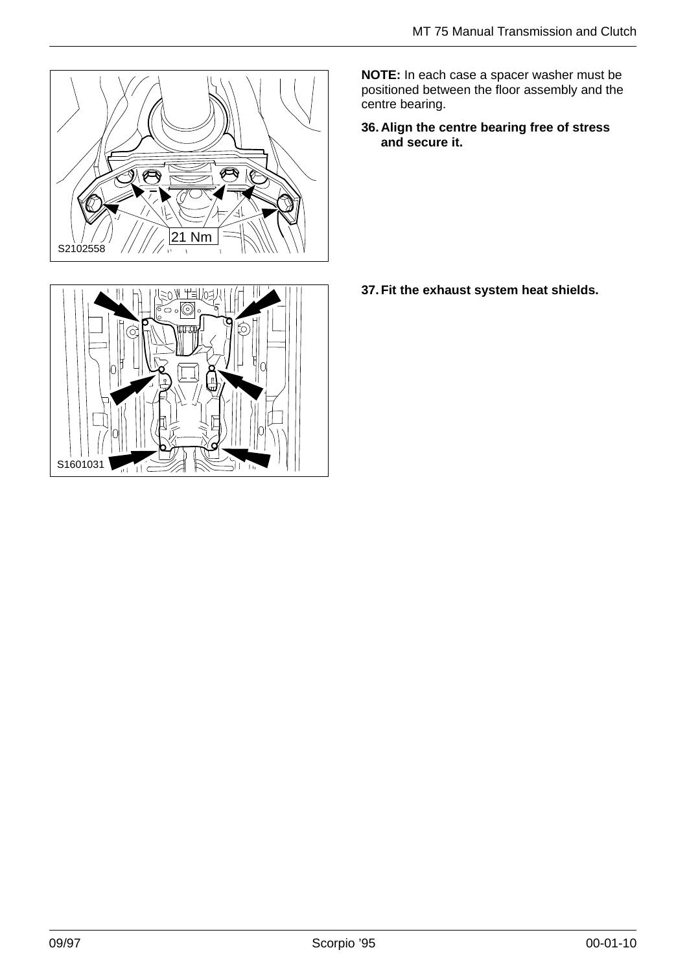![](_page_9_Picture_1.jpeg)

![](_page_9_Picture_2.jpeg)

**NOTE:** In each case a spacer washer must be positioned between the floor assembly and the centre bearing.

**36. Align the centre bearing free of stress and secure it.**

**37. Fit the exhaust system heat shields.**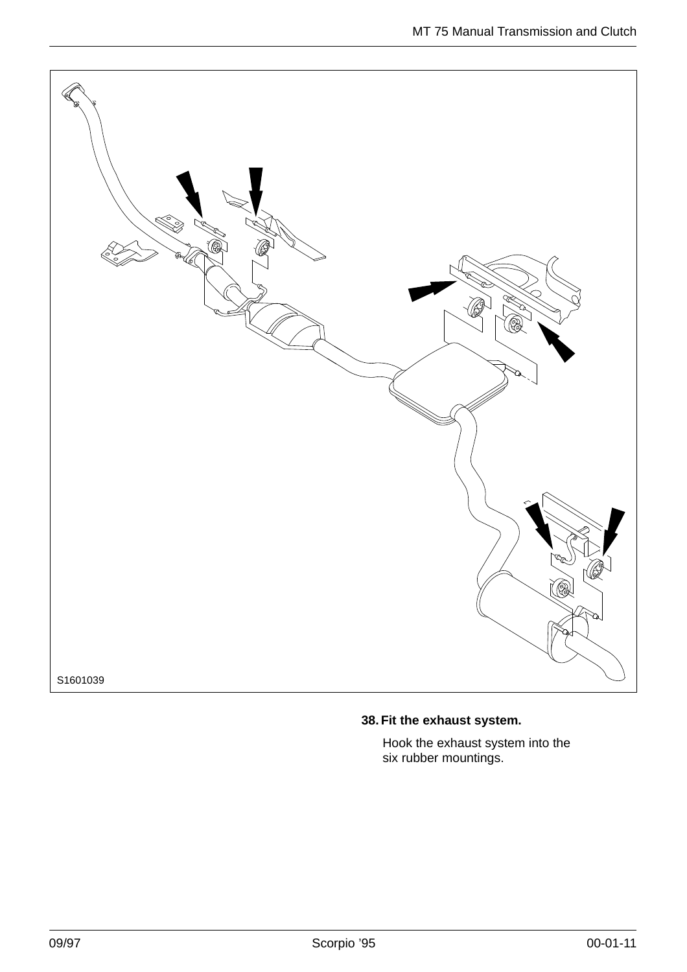![](_page_10_Picture_1.jpeg)

## **38. Fit the exhaust system.**

Hook the exhaust system into the six rubber mountings.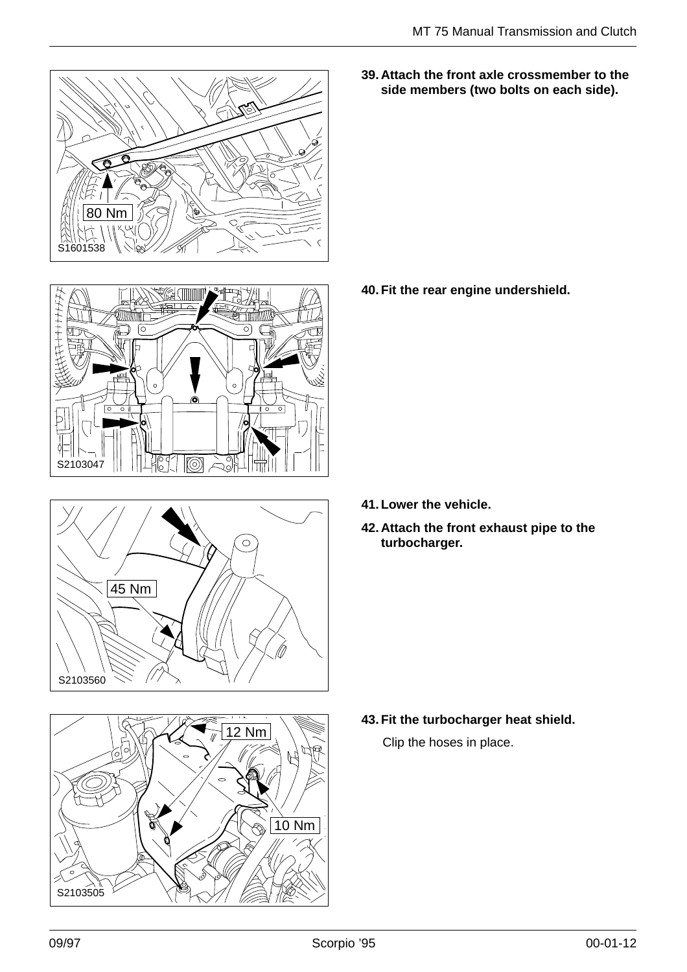![](_page_11_Picture_1.jpeg)

![](_page_11_Picture_2.jpeg)

 $\circ$ 45 Nm S2103560

![](_page_11_Picture_4.jpeg)

**39. Attach the front axle crossmember to the side members (two bolts on each side).**

**40. Fit the rear engine undershield.**

- **41. Lower the vehicle.**
- **42. Attach the front exhaust pipe to the turbocharger.**

**43. Fit the turbocharger heat shield.**

Clip the hoses in place.